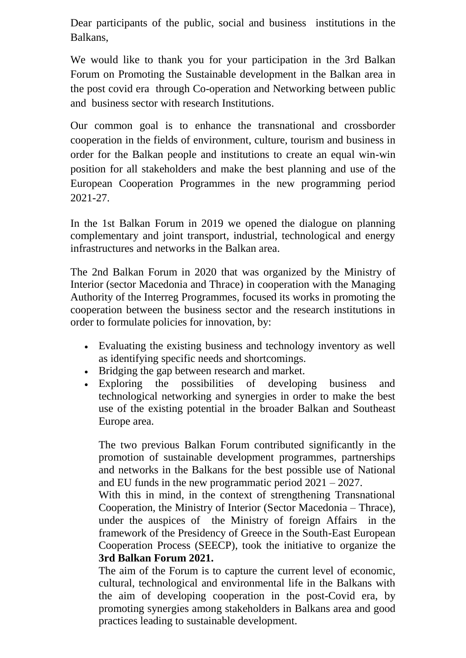Dear participants of the public, social and business institutions in the Balkans,

We would like to thank you for your participation in the 3rd Balkan Forum on Promoting the Sustainable development in the Balkan area in the post covid era through Co-operation and Networking between public and business sector with research Institutions.

Our common goal is to enhance the transnational and crossborder cooperation in the fields of environment, culture, tourism and business in order for the Balkan people and institutions to create an equal win-win position for all stakeholders and make the best planning and use of the European Cooperation Programmes in the new programming period 2021-27.

In the 1st Balkan Forum in 2019 we opened the dialogue on planning complementary and joint transport, industrial, technological and energy infrastructures and networks in the Balkan area.

The 2nd Balkan Forum in 2020 that was organized by the Ministry of Interior (sector Macedonia and Thrace) in cooperation with the Managing Authority of the Interreg Programmes, focused its works in promoting the cooperation between the business sector and the research institutions in order to formulate policies for innovation, by:

- Evaluating the existing business and technology inventory as well as identifying specific needs and shortcomings.
- Bridging the gap between research and market.
- Exploring the possibilities of developing business and technological networking and synergies in order to make the best use of the existing potential in the broader Balkan and Southeast Europe area.

The two previous Balkan Forum contributed significantly in the promotion of sustainable development programmes, partnerships and networks in the Balkans for the best possible use of National and EU funds in the new programmatic period 2021 – 2027.

With this in mind, in the context of strengthening Transnational Cooperation, the Ministry of Interior (Sector Macedonia – Thrace), under the auspices of the Ministry of foreign Affairs in the framework of the Presidency of Greece in the South-East European Cooperation Process (SEECP), took the initiative to organize the **3rd Balkan Forum 2021.**

The aim of the Forum is to capture the current level of economic, cultural, technological and environmental life in the Balkans with the aim of developing cooperation in the post-Covid era, by promoting synergies among stakeholders in Balkans area and good practices leading to sustainable development.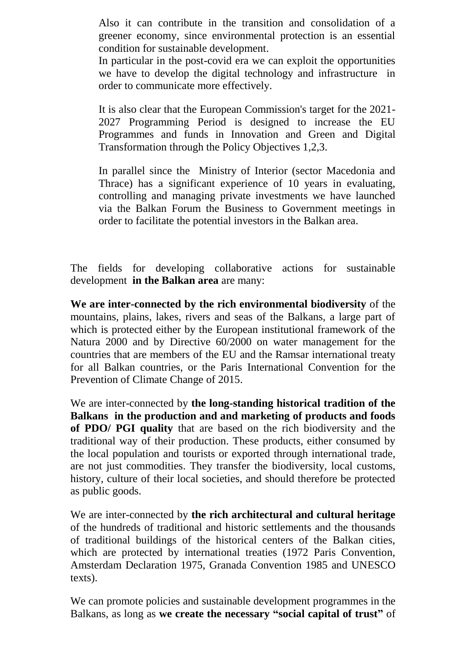Also it can contribute in the transition and consolidation of a greener economy, since environmental protection is an essential condition for sustainable development.

In particular in the post-covid era we can exploit the opportunities we have to develop the digital technology and infrastructure in order to communicate more effectively.

It is also clear that the European Commission's target for the 2021- 2027 Programming Period is designed to increase the EU Programmes and funds in Innovation and Green and Digital Transformation through the Policy Objectives 1,2,3.

In parallel since the Ministry of Interior (sector Macedonia and Thrace) has a significant experience of 10 years in evaluating, controlling and managing private investments we have launched via the Balkan Forum the Business to Government meetings in order to facilitate the potential investors in the Balkan area.

The fields for developing collaborative actions for sustainable development **in the Balkan area** are many:

**We are inter-connected by the rich environmental biodiversity** of the mountains, plains, lakes, rivers and seas of the Balkans, a large part of which is protected either by the European institutional framework of the Natura 2000 and by Directive 60/2000 on water management for the countries that are members of the EU and the Ramsar international treaty for all Balkan countries, or the Paris International Convention for the Prevention of Climate Change of 2015.

We are inter-connected by **the long-standing historical tradition of the Balkans in the production and and marketing of products and foods of PDO/ PGI quality** that are based on the rich biodiversity and the traditional way of their production. These products, either consumed by the local population and tourists or exported through international trade, are not just commodities. They transfer the biodiversity, local customs, history, culture of their local societies, and should therefore be protected as public goods.

We are inter-connected by **the rich architectural and cultural heritage** of the hundreds of traditional and historic settlements and the thousands of traditional buildings of the historical centers of the Balkan cities, which are protected by international treaties (1972 Paris Convention, Amsterdam Declaration 1975, Granada Convention 1985 and UNESCO texts).

We can promote policies and sustainable development programmes in the Balkans, as long as **we create the necessary "social capital of trust"** of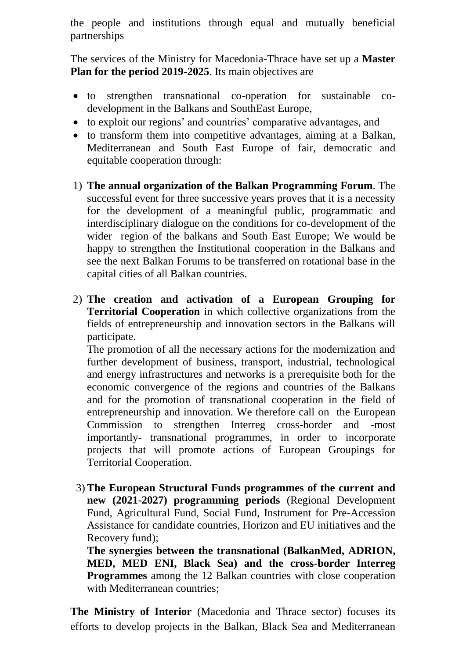the people and institutions through equal and mutually beneficial partnerships

The services of the Ministry for Macedonia-Thrace have set up a **Master Plan for the period 2019-2025**. Its main objectives are

- to strengthen transnational co-operation for sustainable codevelopment in the Balkans and SouthEast Europe,
- to exploit our regions' and countries' comparative advantages, and
- to transform them into competitive advantages, aiming at a Balkan, Mediterranean and South East Europe of fair, democratic and equitable cooperation through:
- 1) **The annual organization of the Balkan Programming Forum**. The successful event for three successive years proves that it is a necessity for the development of a meaningful public, programmatic and interdisciplinary dialogue on the conditions for co-development of the wider region of the balkans and South East Europe; We would be happy to strengthen the Institutional cooperation in the Balkans and see the next Balkan Forums to be transferred on rotational base in the capital cities of all Balkan countries.
- 2) **The creation and activation of a European Grouping for Territorial Cooperation** in which collective organizations from the fields of entrepreneurship and innovation sectors in the Balkans will participate.

The promotion of all the necessary actions for the modernization and further development of business, transport, industrial, technological and energy infrastructures and networks is a prerequisite both for the economic convergence of the regions and countries of the Balkans and for the promotion of transnational cooperation in the field of entrepreneurship and innovation. We therefore call on the European Commission to strengthen Interreg cross-border and -most importantly- transnational programmes, in order to incorporate projects that will promote actions of European Groupings for Territorial Cooperation.

3) **The European Structural Funds programmes of the current and new (2021-2027) programming periods** (Regional Development Fund, Agricultural Fund, Social Fund, Instrument for Pre-Accession Assistance for candidate countries, Horizon and EU initiatives and the Recovery fund);

**The synergies between the transnational (BalkanMed, ADRION, MED, MED ENI, Black Sea) and the cross-border Interreg Programmes** among the 12 Balkan countries with close cooperation with Mediterranean countries:

**The Ministry of Interior** (Macedonia and Thrace sector) focuses its efforts to develop projects in the Balkan, Black Sea and Mediterranean